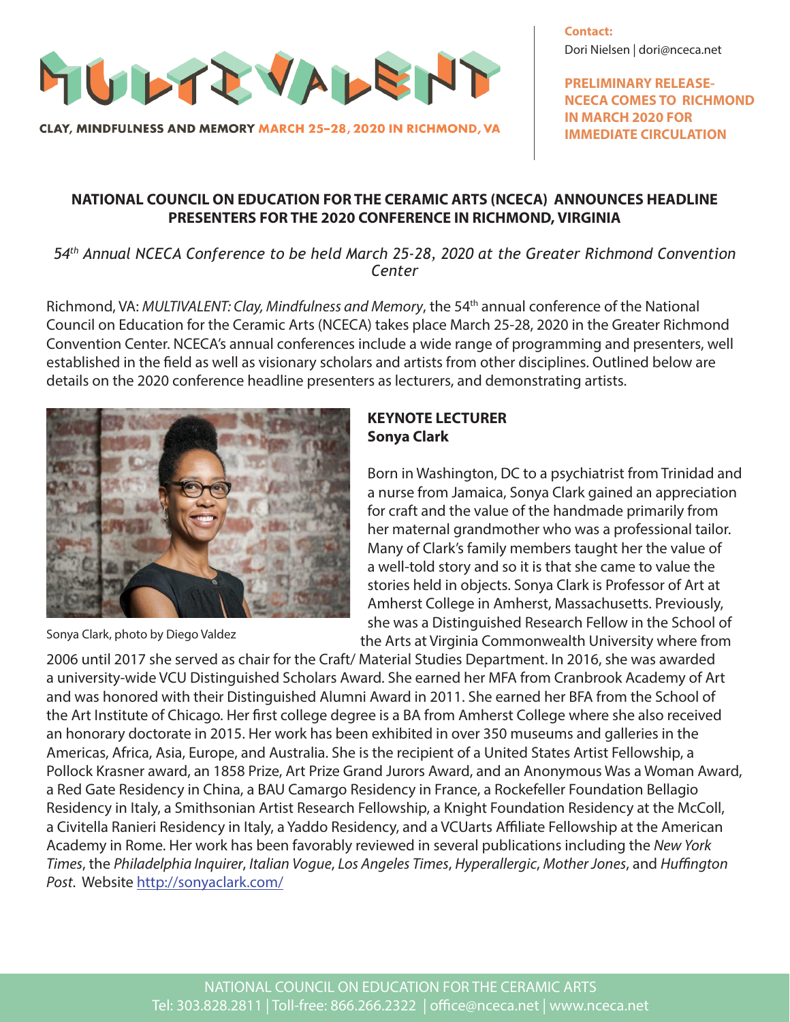

CLAY, MINDFULNESS AND MEMORY MARCH 25-28, 2020 IN RICHMOND, VA

**Contact:** Dori Nielsen | dori@nceca.net

**PRELIMINARY RELEASE-NCECA COMES TO RICHMOND IN MARCH 2020 FOR IMMEDIATE CIRCULATION**

### **NATIONAL COUNCIL ON EDUCATION FOR THE CERAMIC ARTS (NCECA) ANNOUNCES HEADLINE PRESENTERS FOR THE 2020 CONFERENCE IN RICHMOND, VIRGINIA**

*54th Annual NCECA Conference to be held March 25-28, 2020 at the Greater Richmond Convention Center* 

Richmond, VA: *MULTIVALENT: Clay, Mindfulness and Memory*, the 54th annual conference of the National Council on Education for the Ceramic Arts (NCECA) takes place March 25-28, 2020 in the Greater Richmond Convention Center. NCECA's annual conferences include a wide range of programming and presenters, well established in the field as well as visionary scholars and artists from other disciplines. Outlined below are details on the 2020 conference headline presenters as lecturers, and demonstrating artists.



Sonya Clark, photo by Diego Valdez

### **KEYNOTE LECTURER Sonya Clark**

Born in Washington, DC to a psychiatrist from Trinidad and a nurse from Jamaica, Sonya Clark gained an appreciation for craft and the value of the handmade primarily from her maternal grandmother who was a professional tailor. Many of Clark's family members taught her the value of a well-told story and so it is that she came to value the stories held in objects. Sonya Clark is Professor of Art at Amherst College in Amherst, Massachusetts. Previously, she was a Distinguished Research Fellow in the School of the Arts at Virginia Commonwealth University where from

2006 until 2017 she served as chair for the Craft/ Material Studies Department. In 2016, she was awarded a university-wide VCU Distinguished Scholars Award. She earned her MFA from Cranbrook Academy of Art and was honored with their Distinguished Alumni Award in 2011. She earned her BFA from the School of the Art Institute of Chicago. Her first college degree is a BA from Amherst College where she also received an honorary doctorate in 2015. Her work has been exhibited in over 350 museums and galleries in the Americas, Africa, Asia, Europe, and Australia. She is the recipient of a United States Artist Fellowship, a Pollock Krasner award, an 1858 Prize, Art Prize Grand Jurors Award, and an Anonymous Was a Woman Award, a Red Gate Residency in China, a BAU Camargo Residency in France, a Rockefeller Foundation Bellagio Residency in Italy, a Smithsonian Artist Research Fellowship, a Knight Foundation Residency at the McColl, a Civitella Ranieri Residency in Italy, a Yaddo Residency, and a VCUarts Affiliate Fellowship at the American Academy in Rome. Her work has been favorably reviewed in several publications including the *New York Times*, the *Philadelphia Inquirer*, *Italian Vogue*, *Los Angeles Times*, *Hyperallergic*, *Mother Jones*, and *Huffington Post*. Website http://sonyaclark.com/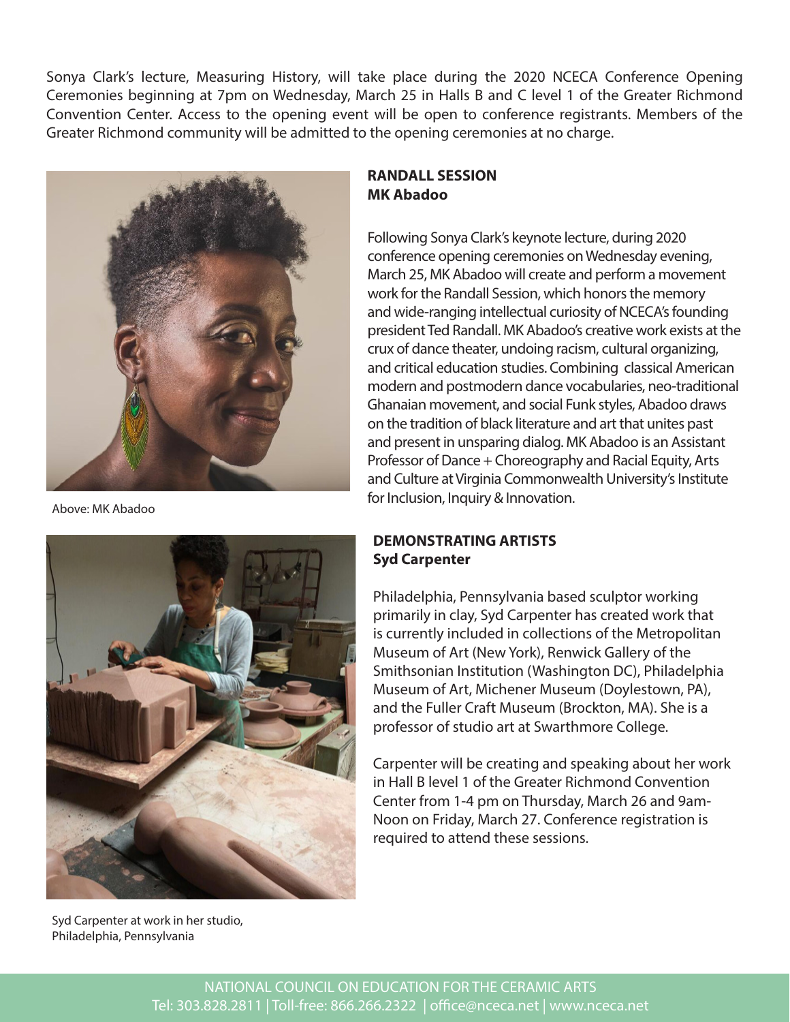Sonya Clark's lecture, Measuring History, will take place during the 2020 NCECA Conference Opening Ceremonies beginning at 7pm on Wednesday, March 25 in Halls B and C level 1 of the Greater Richmond Convention Center. Access to the opening event will be open to conference registrants. Members of the Greater Richmond community will be admitted to the opening ceremonies at no charge.



Above: MK Abadoo



Syd Carpenter at work in her studio, Philadelphia, Pennsylvania

# **RANDALL SESSION MK Abadoo**

Following Sonya Clark's keynote lecture, during 2020 conference opening ceremonies on Wednesday evening, March 25, MK Abadoo will create and perform a movement work for the Randall Session, which honors the memory and wide-ranging intellectual curiosity of NCECA's founding president Ted Randall. MK Abadoo's creative work exists at the crux of dance theater, undoing racism, cultural organizing, and critical education studies. Combining classical American modern and postmodern dance vocabularies, neo-traditional Ghanaian movement, and social Funk styles, Abadoo draws on the tradition of black literature and art that unites past and present in unsparing dialog. MK Abadoo is an Assistant Professor of Dance + Choreography and Racial Equity, Arts and Culture at Virginia Commonwealth University's Institute for Inclusion, Inquiry & Innovation.

## **DEMONSTRATING ARTISTS Syd Carpenter**

Philadelphia, Pennsylvania based sculptor working primarily in clay, Syd Carpenter has created work that is currently included in collections of the Metropolitan Museum of Art (New York), Renwick Gallery of the Smithsonian Institution (Washington DC), Philadelphia Museum of Art, Michener Museum (Doylestown, PA), and the Fuller Craft Museum (Brockton, MA). She is a professor of studio art at Swarthmore College.

Carpenter will be creating and speaking about her work in Hall B level 1 of the Greater Richmond Convention Center from 1-4 pm on Thursday, March 26 and 9am-Noon on Friday, March 27. Conference registration is required to attend these sessions.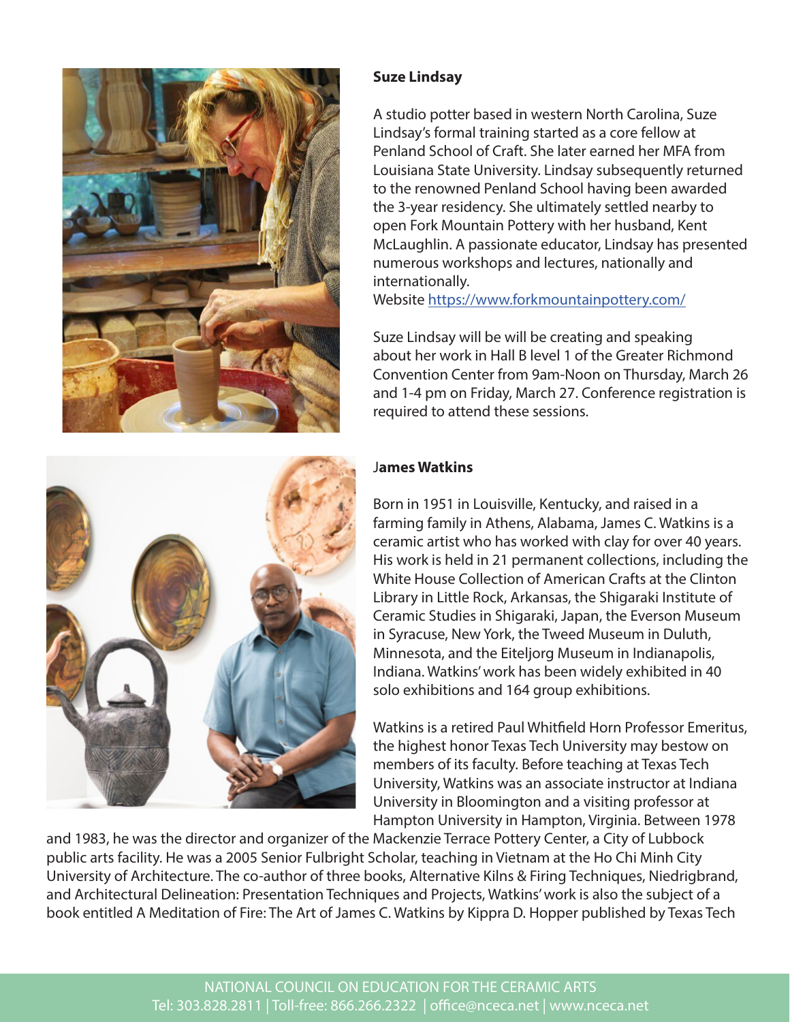



# **Suze Lindsay**

A studio potter based in western North Carolina, Suze Lindsay's formal training started as a core fellow at Penland School of Craft. She later earned her MFA from Louisiana State University. Lindsay subsequently returned to the renowned Penland School having been awarded the 3-year residency. She ultimately settled nearby to open Fork Mountain Pottery with her husband, Kent McLaughlin. A passionate educator, Lindsay has presented numerous workshops and lectures, nationally and internationally.

Website https://www.forkmountainpottery.com/

Suze Lindsay will be will be creating and speaking about her work in Hall B level 1 of the Greater Richmond Convention Center from 9am-Noon on Thursday, March 26 and 1-4 pm on Friday, March 27. Conference registration is required to attend these sessions.

# J**ames Watkins**

Born in 1951 in Louisville, Kentucky, and raised in a farming family in Athens, Alabama, James C. Watkins is a ceramic artist who has worked with clay for over 40 years. His work is held in 21 permanent collections, including the White House Collection of American Crafts at the Clinton Library in Little Rock, Arkansas, the Shigaraki Institute of Ceramic Studies in Shigaraki, Japan, the Everson Museum in Syracuse, New York, the Tweed Museum in Duluth, Minnesota, and the Eiteljorg Museum in Indianapolis, Indiana. Watkins' work has been widely exhibited in 40 solo exhibitions and 164 group exhibitions.

Watkins is a retired Paul Whitfield Horn Professor Emeritus, the highest honor Texas Tech University may bestow on members of its faculty. Before teaching at Texas Tech University, Watkins was an associate instructor at Indiana University in Bloomington and a visiting professor at Hampton University in Hampton, Virginia. Between 1978

and 1983, he was the director and organizer of the Mackenzie Terrace Pottery Center, a City of Lubbock public arts facility. He was a 2005 Senior Fulbright Scholar, teaching in Vietnam at the Ho Chi Minh City University of Architecture. The co-author of three books, Alternative Kilns & Firing Techniques, Niedrigbrand, and Architectural Delineation: Presentation Techniques and Projects, Watkins' work is also the subject of a book entitled A Meditation of Fire: The Art of James C. Watkins by Kippra D. Hopper published by Texas Tech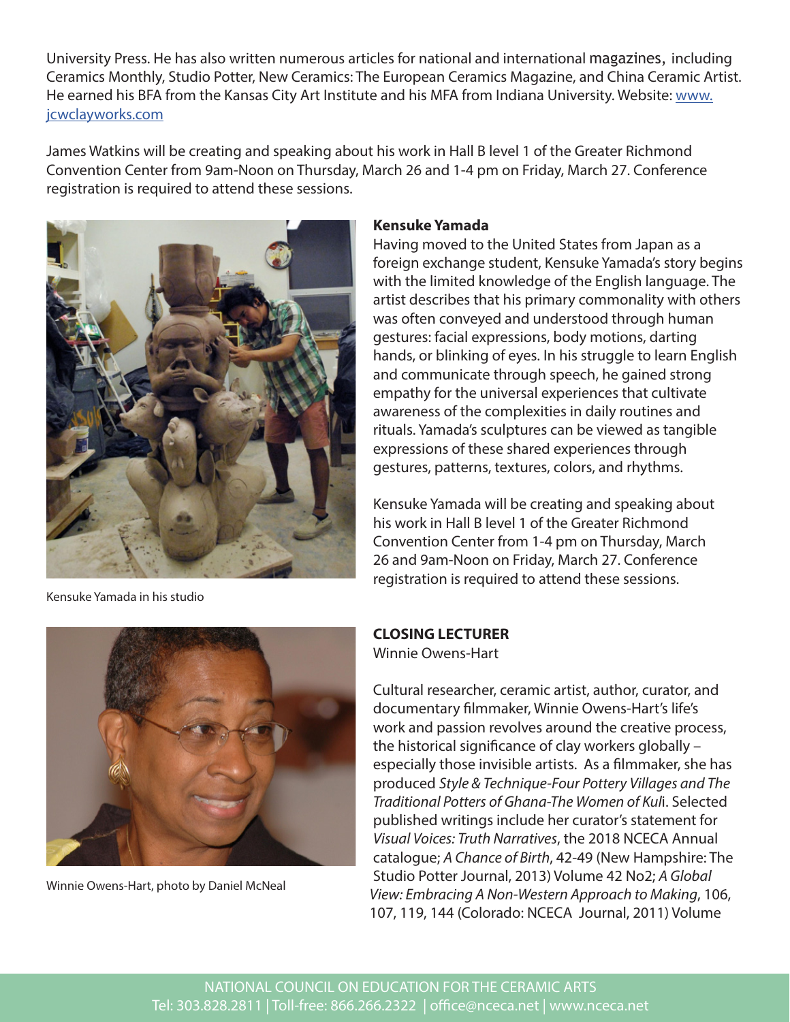University Press. He has also written numerous articles for national and international magazines, including Ceramics Monthly, Studio Potter, New Ceramics: The European Ceramics Magazine, and China Ceramic Artist. He earned his BFA from the Kansas City Art Institute and his MFA from Indiana University. Website: www. jcwclayworks.com

James Watkins will be creating and speaking about his work in Hall B level 1 of the Greater Richmond Convention Center from 9am-Noon on Thursday, March 26 and 1-4 pm on Friday, March 27. Conference registration is required to attend these sessions.



Kensuke Yamada in his studio

#### **Kensuke Yamada**

Having moved to the United States from Japan as a foreign exchange student, Kensuke Yamada's story begins with the limited knowledge of the English language. The artist describes that his primary commonality with others was often conveyed and understood through human gestures: facial expressions, body motions, darting hands, or blinking of eyes. In his struggle to learn English and communicate through speech, he gained strong empathy for the universal experiences that cultivate awareness of the complexities in daily routines and rituals. Yamada's sculptures can be viewed as tangible expressions of these shared experiences through gestures, patterns, textures, colors, and rhythms.

Kensuke Yamada will be creating and speaking about his work in Hall B level 1 of the Greater Richmond Convention Center from 1-4 pm on Thursday, March 26 and 9am-Noon on Friday, March 27. Conference registration is required to attend these sessions.



Winnie Owens-Hart, photo by Daniel McNeal

**CLOSING LECTURER**

Winnie Owens-Hart

Cultural researcher, ceramic artist, author, curator, and documentary filmmaker, Winnie Owens-Hart's life's work and passion revolves around the creative process, the historical significance of clay workers globally – especially those invisible artists. As a filmmaker, she has produced *Style & Technique-Four Pottery Villages and The Traditional Potters of Ghana-The Women of Kul*i. Selected published writings include her curator's statement for *Visual Voices: Truth Narratives*, the 2018 NCECA Annual catalogue; *A Chance of Birth*, 42-49 (New Hampshire: The Studio Potter Journal, 2013) Volume 42 No2; *A Global View: Embracing A Non-Western Approach to Making*, 106, 107, 119, 144 (Colorado: NCECA Journal, 2011) Volume